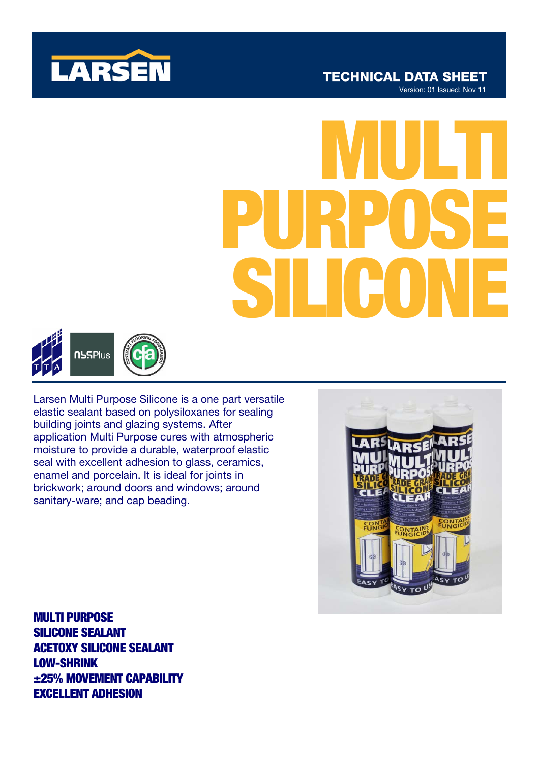

# MULTI PURPOSE SILICONE



Larsen Multi Purpose Silicone is a one part versatile elastic sealant based on polysiloxanes for sealing building joints and glazing systems. After application Multi Purpose cures with atmospheric moisture to provide a durable, waterproof elastic seal with excellent adhesion to glass, ceramics, enamel and porcelain. It is ideal for joints in brickwork; around doors and windows; around sanitary-ware; and cap beading.



MULTI PURPOSE SILICONE SEALANT ACETOXY SILICONE SEALANT LOW-SHRINK ±25% MOVEMENT CAPABILITY EXCELLENT ADHESION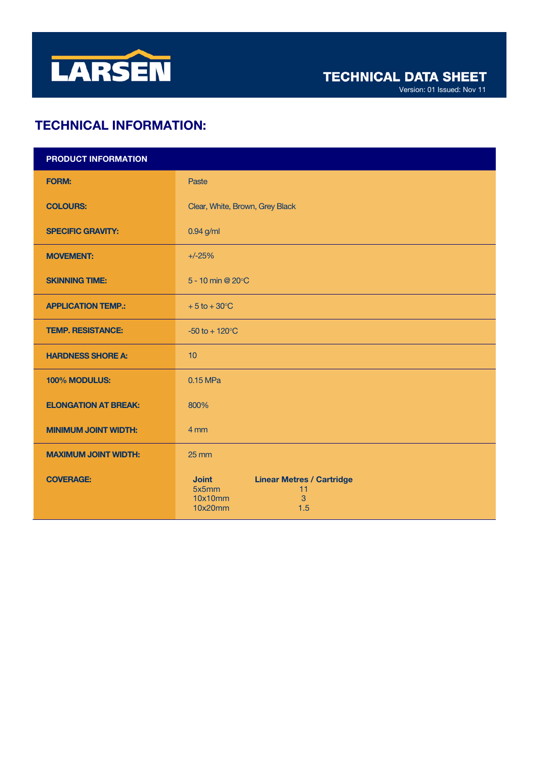

# TECHNICAL INFORMATION:

| <b>PRODUCT INFORMATION</b>  |                                                                                                   |
|-----------------------------|---------------------------------------------------------------------------------------------------|
| <b>FORM:</b>                | Paste                                                                                             |
| <b>COLOURS:</b>             | Clear, White, Brown, Grey Black                                                                   |
| <b>SPECIFIC GRAVITY:</b>    | $0.94$ g/ml                                                                                       |
| <b>MOVEMENT:</b>            | $+/-25%$                                                                                          |
| <b>SKINNING TIME:</b>       | 5 - 10 min @ 20°C                                                                                 |
| <b>APPLICATION TEMP.:</b>   | $+5$ to $+30^{\circ}$ C                                                                           |
| <b>TEMP. RESISTANCE:</b>    | $-50$ to $+120$ °C                                                                                |
| <b>HARDNESS SHORE A:</b>    | 10                                                                                                |
| 100% MODULUS:               | 0.15 MPa                                                                                          |
| <b>ELONGATION AT BREAK:</b> | 800%                                                                                              |
| <b>MINIMUM JOINT WIDTH:</b> | 4 mm                                                                                              |
| <b>MAXIMUM JOINT WIDTH:</b> | $25 \, \text{mm}$                                                                                 |
| <b>COVERAGE:</b>            | <b>Joint</b><br><b>Linear Metres / Cartridge</b><br>5x5mm<br>11<br>10x10mm<br>3<br>10x20mm<br>1.5 |